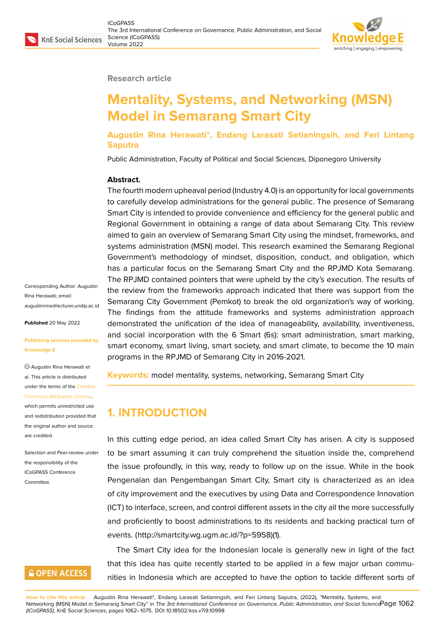#### **Research article**

# **Mentality, Systems, and Networking (MSN) Model in Semarang Smart City**

**Augustin Rina Herawati\*, Endang Larasati Setianingsih, and Feri Lintang Saputra**

Public Administration, Faculty of Political and Social Sciences, Diponegoro University

#### **Abstract.**

The fourth modern upheaval period (Industry 4.0) is an opportunity for local governments to carefully develop administrations for the general public. The presence of Semarang Smart City is intended to provide convenience and efficiency for the general public and Regional Government in obtaining a range of data about Semarang City. This review aimed to gain an overview of Semarang Smart City using the mindset, frameworks, and systems administration (MSN) model. This research examined the Semarang Regional Government's methodology of mindset, disposition, conduct, and obligation, which has a particular focus on the Semarang Smart City and the RPJMD Kota Semarang. The RPJMD contained pointers that were upheld by the city's execution. The results of the review from the frameworks approach indicated that there was support from the Semarang City Government (Pemkot) to break the old organization's way of working. The findings from the attitude frameworks and systems administration approach demonstrated the unification of the idea of manageability, availability, inventiveness, and social incorporation with the 6 Smart (6s): smart administration, smart marking, smart economy, smart living, smart society, and smart climate, to become the 10 main programs in the RPJMD of Semarang City in 2016-2021.

**Keywords:** model mentality, systems, networking, Semarang Smart City

## **1. INTRODUCTION**

In this cutting edge period, an idea called Smart City has arisen. A city is supposed to be smart assuming it can truly comprehend the situation inside the, comprehend the issue profoundly, in this way, ready to follow up on the issue. While in the book Pengenalan dan Pengembangan Smart City, Smart city is characterized as an idea of city improvement and the executives by using Data and Correspondence Innovation (ICT) to interface, screen, and control different assets in the city all the more successfully and proficiently to boost administrations to its residents and backing practical turn of events. (http://smartcity.wg.ugm.ac.id/?p=5958)(1).

The Smart City idea for the Indonesian locale is generally new in light of the fact that this idea has quite recently started to be applied in a few major urban communities in Indonesia which are accepted to have the option to tackle different sorts of

**How to cite this article**: Augustin Rina Herawati\*, Endang Larasati Setianingsih, and Feri Lintang Saputra, (2022), "Mentality, Systems, and Networking (MSN) Model in Semarang Smart City" in *The 3rd International Conference on Governance, Public Administration, and Social Science* Page 1062 *(ICoGPASS)*, KnE Social Sciences, pages 1062–1075. DOI 10.18502/kss.v7i9.10998

Corresponding Author: Augustin Rina Herawati; email: augustinrina@lecturer.undip.ac.id

**Published** 20 May 2022

#### **[Publishing services provided by](mailto:augustinrina@lecturer.undip.ac.id) Knowledge E**

Augustin Rina Herawati et al. This article is distributed under the terms of the Creative Commons Attribution License,

which permits unrestricted use and redistribution provided that the original author and [source](https://creativecommons.org/licenses/by/4.0/) [are credited.](https://creativecommons.org/licenses/by/4.0/)

Selection and Peer-review under the responsibility of the ICoGPASS Conference **Committee** 

## **GOPEN ACCESS**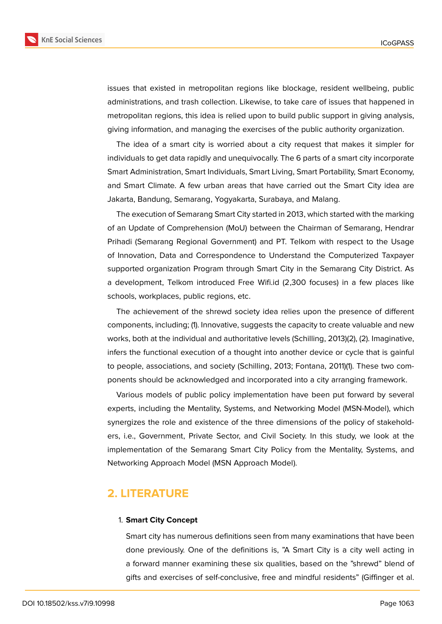

issues that existed in metropolitan regions like blockage, resident wellbeing, public administrations, and trash collection. Likewise, to take care of issues that happened in metropolitan regions, this idea is relied upon to build public support in giving analysis, giving information, and managing the exercises of the public authority organization.

The idea of a smart city is worried about a city request that makes it simpler for individuals to get data rapidly and unequivocally. The 6 parts of a smart city incorporate Smart Administration, Smart Individuals, Smart Living, Smart Portability, Smart Economy, and Smart Climate. A few urban areas that have carried out the Smart City idea are Jakarta, Bandung, Semarang, Yogyakarta, Surabaya, and Malang.

The execution of Semarang Smart City started in 2013, which started with the marking of an Update of Comprehension (MoU) between the Chairman of Semarang, Hendrar Prihadi (Semarang Regional Government) and PT. Telkom with respect to the Usage of Innovation, Data and Correspondence to Understand the Computerized Taxpayer supported organization Program through Smart City in the Semarang City District. As a development, Telkom introduced Free Wifi.id (2,300 focuses) in a few places like schools, workplaces, public regions, etc.

The achievement of the shrewd society idea relies upon the presence of different components, including; (1). Innovative, suggests the capacity to create valuable and new works, both at the individual and authoritative levels (Schilling, 2013)(2), (2). Imaginative, infers the functional execution of a thought into another device or cycle that is gainful to people, associations, and society (Schilling, 2013; Fontana, 2011)(1). These two components should be acknowledged and incorporated into a city arranging framework.

Various models of public policy implementation have been put forward by several experts, including the Mentality, Systems, and Networking Model (MSN-Model), which synergizes the role and existence of the three dimensions of the policy of stakeholders, i.e., Government, Private Sector, and Civil Society. In this study, we look at the implementation of the Semarang Smart City Policy from the Mentality, Systems, and Networking Approach Model (MSN Approach Model).

### **2. LITERATURE**

#### 1. **Smart City Concept**

Smart city has numerous definitions seen from many examinations that have been done previously. One of the definitions is, "A Smart City is a city well acting in a forward manner examining these six qualities, based on the "shrewd" blend of gifts and exercises of self-conclusive, free and mindful residents" (Giffinger et al.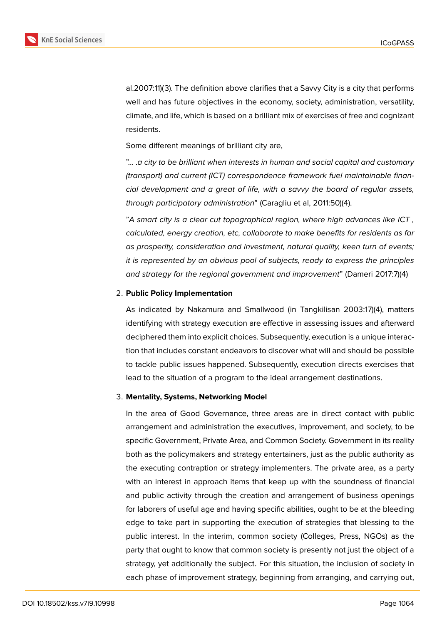

al.2007:11)(3). The definition above clarifies that a Savvy City is a city that performs well and has future objectives in the economy, society, administration, versatility, climate, and life, which is based on a brilliant mix of exercises of free and cognizant residents.

Some different meanings of brilliant city are,

"… .*a city to be brilliant when interests in human and social capital and customary (transport) and current (ICT) correspondence framework fuel maintainable financial development and a great of life, with a savvy the board of regular assets, through participatory administration*" (Caragliu et al, 2011:50)(4).

"*A smart city is a clear cut topographical region, where high advances like ICT , calculated, energy creation, etc, collaborate to make benefits for residents as far as prosperity, consideration and investment, natural quality, keen turn of events; it is represented by an obvious pool of subjects, ready to express the principles and strategy for the regional government and improvement*" (Dameri 2017:7)(4)

#### 2. **Public Policy Implementation**

As indicated by Nakamura and Smallwood (in Tangkilisan 2003:17)(4), matters identifying with strategy execution are effective in assessing issues and afterward deciphered them into explicit choices. Subsequently, execution is a unique interaction that includes constant endeavors to discover what will and should be possible to tackle public issues happened. Subsequently, execution directs exercises that lead to the situation of a program to the ideal arrangement destinations.

#### 3. **Mentality, Systems, Networking Model**

In the area of Good Governance, three areas are in direct contact with public arrangement and administration the executives, improvement, and society, to be specific Government, Private Area, and Common Society. Government in its reality both as the policymakers and strategy entertainers, just as the public authority as the executing contraption or strategy implementers. The private area, as a party with an interest in approach items that keep up with the soundness of financial and public activity through the creation and arrangement of business openings for laborers of useful age and having specific abilities, ought to be at the bleeding edge to take part in supporting the execution of strategies that blessing to the public interest. In the interim, common society (Colleges, Press, NGOs) as the party that ought to know that common society is presently not just the object of a strategy, yet additionally the subject. For this situation, the inclusion of society in each phase of improvement strategy, beginning from arranging, and carrying out,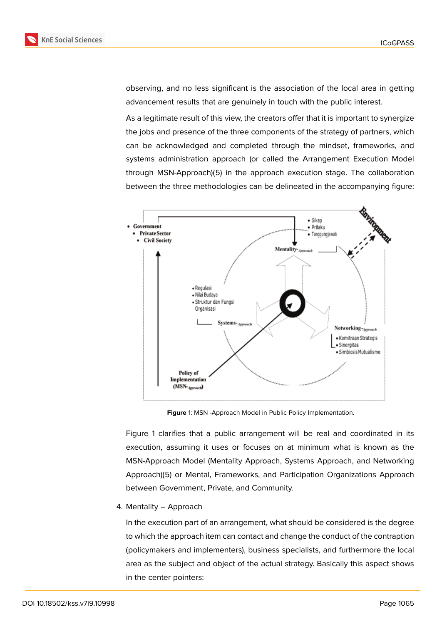observing, and no less significant is the association of the local area in getting advancement results that are genuinely in touch with the public interest.

As a legitimate result of this view, the creators offer that it is important to synergize the jobs and presence of the three components of the strategy of partners, which can be acknowledged and completed through the mindset, frameworks, and systems administration approach (or called the Arrangement Execution Model through MSN-Approach)(5) in the approach execution stage. The collaboration between the three methodologies can be delineated in the accompanying figure:



<span id="page-3-0"></span>**Figure** 1: MSN -Approach Model in Public Policy Implementation.

Figure 1 clarifies that a public arrangement will be real and coordinated in its execution, assuming it uses or focuses on at minimum what is known as the MSN-Approach Model (Mentality Approach, Systems Approach, and Networking Appro[ac](#page-3-0)h)(5) or Mental, Frameworks, and Participation Organizations Approach between Government, Private, and Community.

4. Mentality – Approach

In the execution part of an arrangement, what should be considered is the degree to which the approach item can contact and change the conduct of the contraption (policymakers and implementers), business specialists, and furthermore the local area as the subject and object of the actual strategy. Basically this aspect shows in the center pointers: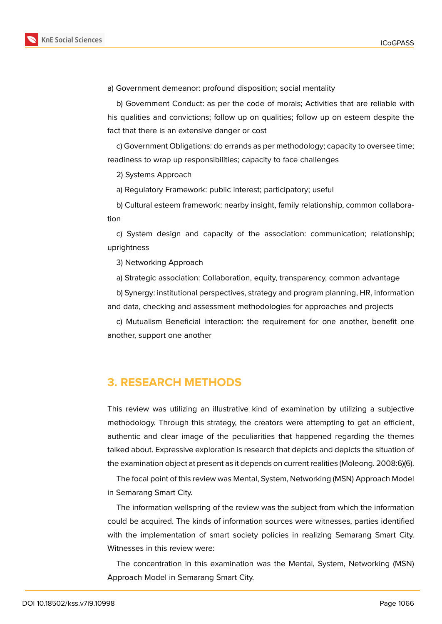

a) Government demeanor: profound disposition; social mentality

b) Government Conduct: as per the code of morals; Activities that are reliable with his qualities and convictions; follow up on qualities; follow up on esteem despite the fact that there is an extensive danger or cost

c) Government Obligations: do errands as per methodology; capacity to oversee time; readiness to wrap up responsibilities; capacity to face challenges

2) Systems Approach

a) Regulatory Framework: public interest; participatory; useful

b) Cultural esteem framework: nearby insight, family relationship, common collaboration

c) System design and capacity of the association: communication; relationship; uprightness

3) Networking Approach

a) Strategic association: Collaboration, equity, transparency, common advantage

b) Synergy: institutional perspectives, strategy and program planning, HR, information and data, checking and assessment methodologies for approaches and projects

c) Mutualism Beneficial interaction: the requirement for one another, benefit one another, support one another

### **3. RESEARCH METHODS**

This review was utilizing an illustrative kind of examination by utilizing a subjective methodology. Through this strategy, the creators were attempting to get an efficient, authentic and clear image of the peculiarities that happened regarding the themes talked about. Expressive exploration is research that depicts and depicts the situation of the examination object at present as it depends on current realities (Moleong. 2008:6)(6).

The focal point of this review was Mental, System, Networking (MSN) Approach Model in Semarang Smart City.

The information wellspring of the review was the subject from which the information could be acquired. The kinds of information sources were witnesses, parties identified with the implementation of smart society policies in realizing Semarang Smart City. Witnesses in this review were:

The concentration in this examination was the Mental, System, Networking (MSN) Approach Model in Semarang Smart City.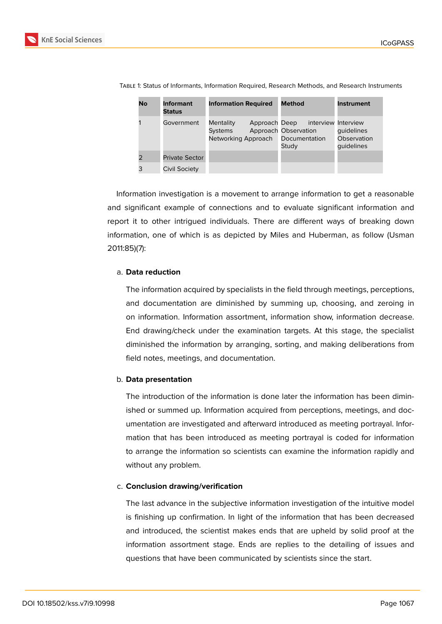

| No | <b>Informant</b><br><b>Status</b> | <b>Information Required</b>                                  | <b>Method</b>                                                         | <b>Instrument</b>                       |
|----|-----------------------------------|--------------------------------------------------------------|-----------------------------------------------------------------------|-----------------------------------------|
|    | Government                        | Approach Deep<br>Mentality<br>Systems<br>Networking Approach | interview Interview<br>Approach Observation<br>Documentation<br>Study | quidelines<br>Observation<br>quidelines |
|    | <b>Private Sector</b>             |                                                              |                                                                       |                                         |
| 3  | Civil Society                     |                                                              |                                                                       |                                         |

Table 1: Status of Informants, Information Required, Research Methods, and Research Instruments

Information investigation is a movement to arrange information to get a reasonable and significant example of connections and to evaluate significant information and report it to other intrigued individuals. There are different ways of breaking down information, one of which is as depicted by Miles and Huberman, as follow (Usman 2011:85)(7):

#### a. **Data reduction**

The information acquired by specialists in the field through meetings, perceptions, and documentation are diminished by summing up, choosing, and zeroing in on information. Information assortment, information show, information decrease. End drawing/check under the examination targets. At this stage, the specialist diminished the information by arranging, sorting, and making deliberations from field notes, meetings, and documentation.

#### b. **Data presentation**

The introduction of the information is done later the information has been diminished or summed up. Information acquired from perceptions, meetings, and documentation are investigated and afterward introduced as meeting portrayal. Information that has been introduced as meeting portrayal is coded for information to arrange the information so scientists can examine the information rapidly and without any problem.

#### c. **Conclusion drawing/verification**

The last advance in the subjective information investigation of the intuitive model is finishing up confirmation. In light of the information that has been decreased and introduced, the scientist makes ends that are upheld by solid proof at the information assortment stage. Ends are replies to the detailing of issues and questions that have been communicated by scientists since the start.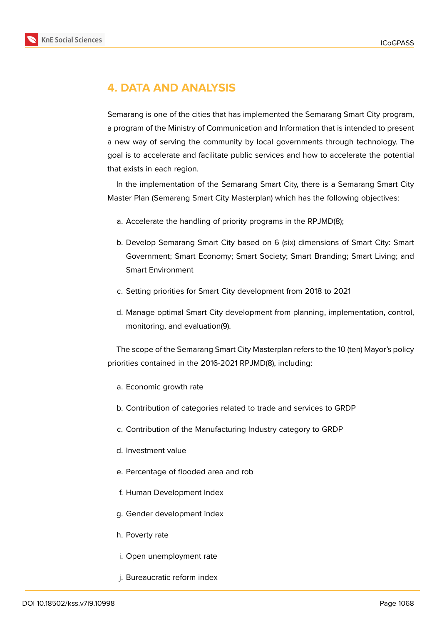

## **4. DATA AND ANALYSIS**

Semarang is one of the cities that has implemented the Semarang Smart City program, a program of the Ministry of Communication and Information that is intended to present a new way of serving the community by local governments through technology. The goal is to accelerate and facilitate public services and how to accelerate the potential that exists in each region.

In the implementation of the Semarang Smart City, there is a Semarang Smart City Master Plan (Semarang Smart City Masterplan) which has the following objectives:

- a. Accelerate the handling of priority programs in the RPJMD(8);
- b. Develop Semarang Smart City based on 6 (six) dimensions of Smart City: Smart Government; Smart Economy; Smart Society; Smart Branding; Smart Living; and Smart Environment
- c. Setting priorities for Smart City development from 2018 to 2021
- d. Manage optimal Smart City development from planning, implementation, control, monitoring, and evaluation(9).

The scope of the Semarang Smart City Masterplan refers to the 10 (ten) Mayor's policy priorities contained in the 2016-2021 RPJMD(8), including:

- a. Economic growth rate
- b. Contribution of categories related to trade and services to GRDP
- c. Contribution of the Manufacturing Industry category to GRDP
- d. Investment value
- e. Percentage of flooded area and rob
- f. Human Development Index
- g. Gender development index
- h. Poverty rate
- i. Open unemployment rate
- j. Bureaucratic reform index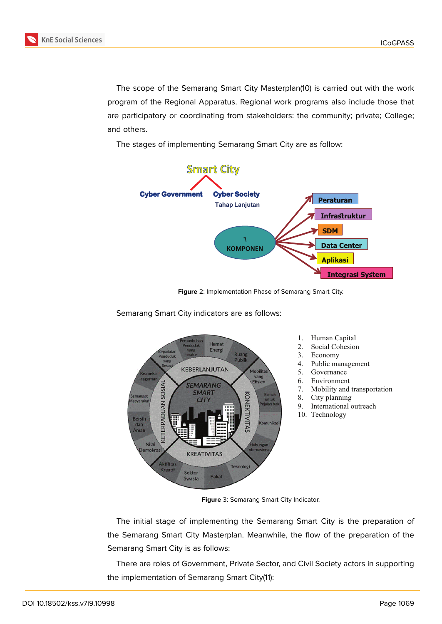

The scope of the Semarang Smart City Masterplan(10) is carried out with the work program of the Regional Apparatus. Regional work programs also include those that are participatory or coordinating from stakeholders: the community; private; College; and others.

The stages of implementing Semarang Smart City are as follow:



**Figure** 2: Implementation Phase of Semarang Smart City.



Semarang Smart City indicators are as follows:

**Figure** 3: Semarang Smart City Indicator.

The initial stage of implementing the Semarang Smart City is the preparation of the Semarang Smart City Masterplan. Meanwhile, the flow of the preparation of the Semarang Smart City is as follows:

There are roles of Government, Private Sector, and Civil Society actors in supporting the implementation of Semarang Smart City(11):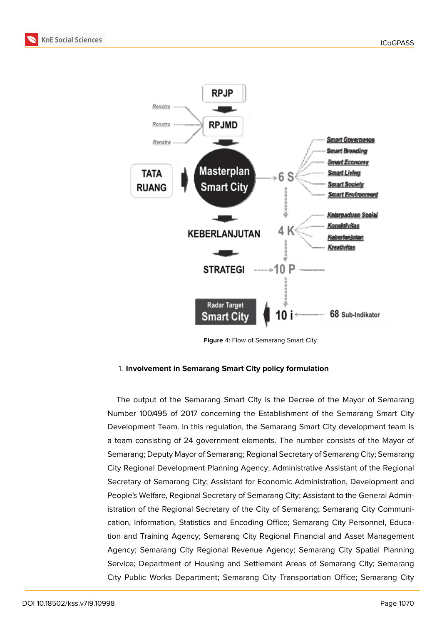



**Figure** 4: Flow of Semarang Smart City.

#### 1. **Involvement in Semarang Smart City policy formulation**

The output of the Semarang Smart City is the Decree of the Mayor of Semarang Number 100/495 of 2017 concerning the Establishment of the Semarang Smart City Development Team. In this regulation, the Semarang Smart City development team is a team consisting of 24 government elements. The number consists of the Mayor of Semarang; Deputy Mayor of Semarang; Regional Secretary of Semarang City; Semarang City Regional Development Planning Agency; Administrative Assistant of the Regional Secretary of Semarang City; Assistant for Economic Administration, Development and People's Welfare, Regional Secretary of Semarang City; Assistant to the General Administration of the Regional Secretary of the City of Semarang; Semarang City Communication, Information, Statistics and Encoding Office; Semarang City Personnel, Education and Training Agency; Semarang City Regional Financial and Asset Management Agency; Semarang City Regional Revenue Agency; Semarang City Spatial Planning Service; Department of Housing and Settlement Areas of Semarang City; Semarang City Public Works Department; Semarang City Transportation Office; Semarang City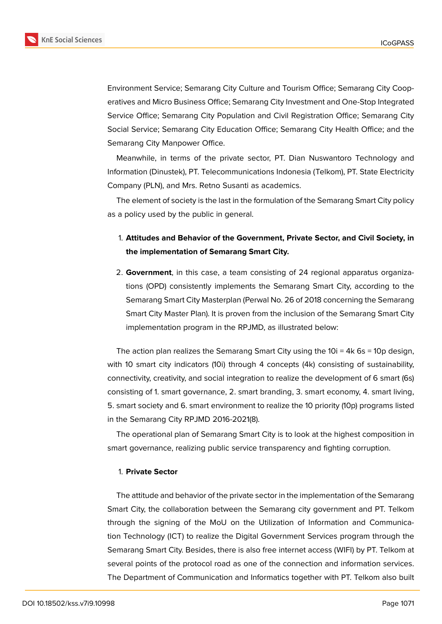

Environment Service; Semarang City Culture and Tourism Office; Semarang City Cooperatives and Micro Business Office; Semarang City Investment and One-Stop Integrated Service Office; Semarang City Population and Civil Registration Office; Semarang City Social Service; Semarang City Education Office; Semarang City Health Office; and the Semarang City Manpower Office.

Meanwhile, in terms of the private sector, PT. Dian Nuswantoro Technology and Information (Dinustek), PT. Telecommunications Indonesia (Telkom), PT. State Electricity Company (PLN), and Mrs. Retno Susanti as academics.

The element of society is the last in the formulation of the Semarang Smart City policy as a policy used by the public in general.

## 1. **Attitudes and Behavior of the Government, Private Sector, and Civil Society, in the implementation of Semarang Smart City.**

2. **Government**, in this case, a team consisting of 24 regional apparatus organizations (OPD) consistently implements the Semarang Smart City, according to the Semarang Smart City Masterplan (Perwal No. 26 of 2018 concerning the Semarang Smart City Master Plan). It is proven from the inclusion of the Semarang Smart City implementation program in the RPJMD, as illustrated below:

The action plan realizes the Semarang Smart City using the  $10i = 4k$  6s = 10p design, with 10 smart city indicators (10i) through 4 concepts (4k) consisting of sustainability, connectivity, creativity, and social integration to realize the development of 6 smart (6s) consisting of 1. smart governance, 2. smart branding, 3. smart economy, 4. smart living, 5. smart society and 6. smart environment to realize the 10 priority (10p) programs listed in the Semarang City RPJMD 2016-2021(8).

The operational plan of Semarang Smart City is to look at the highest composition in smart governance, realizing public service transparency and fighting corruption.

#### 1. **Private Sector**

The attitude and behavior of the private sector in the implementation of the Semarang Smart City, the collaboration between the Semarang city government and PT. Telkom through the signing of the MoU on the Utilization of Information and Communication Technology (ICT) to realize the Digital Government Services program through the Semarang Smart City. Besides, there is also free internet access (WIFI) by PT. Telkom at several points of the protocol road as one of the connection and information services. The Department of Communication and Informatics together with PT. Telkom also built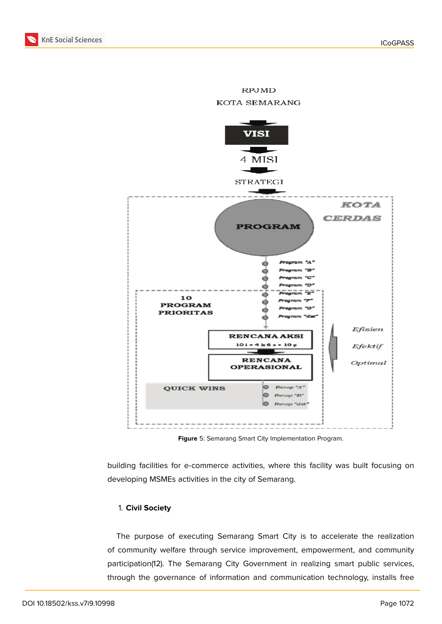

**RPJMD** 

**Figure** 5: Semarang Smart City Implementation Program.

building facilities for e-commerce activities, where this facility was built focusing on developing MSMEs activities in the city of Semarang.

#### 1. **Civil Society**

The purpose of executing Semarang Smart City is to accelerate the realization of community welfare through service improvement, empowerment, and community participation(12). The Semarang City Government in realizing smart public services, through the governance of information and communication technology, installs free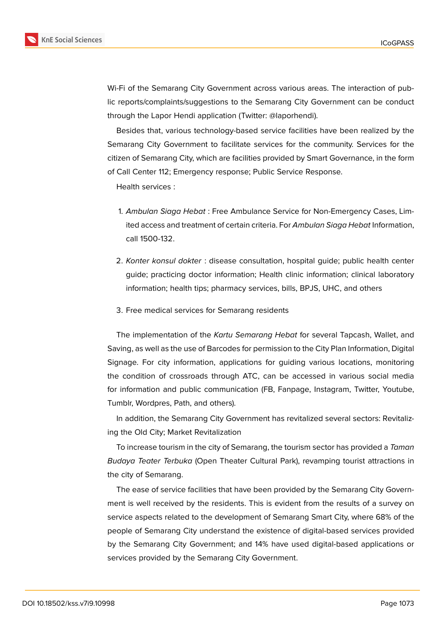

Wi-Fi of the Semarang City Government across various areas. The interaction of public reports/complaints/suggestions to the Semarang City Government can be conduct through the Lapor Hendi application (Twitter: @laporhendi).

Besides that, various technology-based service facilities have been realized by the Semarang City Government to facilitate services for the community. Services for the citizen of Semarang City, which are facilities provided by Smart Governance, in the form of Call Center 112; Emergency response; Public Service Response.

Health services :

- 1. *Ambulan Siaga Hebat* : Free Ambulance Service for Non-Emergency Cases, Limited access and treatment of certain criteria. For *Ambulan Siaga Hebat* Information, call 1500-132.
- 2. *Konter konsul dokter* : disease consultation, hospital guide; public health center guide; practicing doctor information; Health clinic information; clinical laboratory information; health tips; pharmacy services, bills, BPJS, UHC, and others
- 3. Free medical services for Semarang residents

The implementation of the *Kartu Semarang Hebat* for several Tapcash, Wallet, and Saving, as well as the use of Barcodes for permission to the City Plan Information, Digital Signage. For city information, applications for guiding various locations, monitoring the condition of crossroads through ATC, can be accessed in various social media for information and public communication (FB, Fanpage, Instagram, Twitter, Youtube, Tumblr, Wordpres, Path, and others).

In addition, the Semarang City Government has revitalized several sectors: Revitalizing the Old City; Market Revitalization

To increase tourism in the city of Semarang, the tourism sector has provided a *Taman Budaya Teater Terbuka* (Open Theater Cultural Park), revamping tourist attractions in the city of Semarang.

The ease of service facilities that have been provided by the Semarang City Government is well received by the residents. This is evident from the results of a survey on service aspects related to the development of Semarang Smart City, where 68% of the people of Semarang City understand the existence of digital-based services provided by the Semarang City Government; and 14% have used digital-based applications or services provided by the Semarang City Government.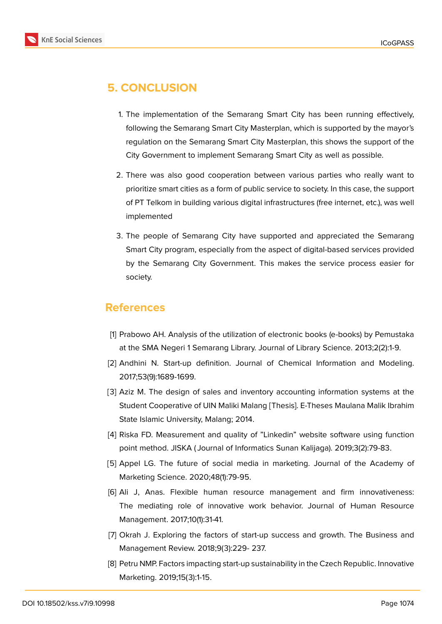

## **5. CONCLUSION**

- 1. The implementation of the Semarang Smart City has been running effectively, following the Semarang Smart City Masterplan, which is supported by the mayor's regulation on the Semarang Smart City Masterplan, this shows the support of the City Government to implement Semarang Smart City as well as possible.
- 2. There was also good cooperation between various parties who really want to prioritize smart cities as a form of public service to society. In this case, the support of PT Telkom in building various digital infrastructures (free internet, etc.), was well implemented
- 3. The people of Semarang City have supported and appreciated the Semarang Smart City program, especially from the aspect of digital-based services provided by the Semarang City Government. This makes the service process easier for society.

## **References**

- [1] Prabowo AH. Analysis of the utilization of electronic books (e-books) by Pemustaka at the SMA Negeri 1 Semarang Library. Journal of Library Science. 2013;2(2):1-9.
- [2] Andhini N. Start-up definition. Journal of Chemical Information and Modeling. 2017;53(9):1689-1699.
- [3] Aziz M. The design of sales and inventory accounting information systems at the Student Cooperative of UIN Maliki Malang [Thesis]. E-Theses Maulana Malik Ibrahim State Islamic University, Malang; 2014.
- [4] Riska FD. Measurement and quality of "Linkedin" website software using function point method. JISKA ( Journal of Informatics Sunan Kalijaga). 2019;3(2):79-83.
- [5] Appel LG. The future of social media in marketing. Journal of the Academy of Marketing Science. 2020;48(1):79-95.
- [6] Ali J, Anas. Flexible human resource management and firm innovativeness: The mediating role of innovative work behavior. Journal of Human Resource Management. 2017;10(1):31-41.
- [7] Okrah J. Exploring the factors of start-up success and growth. The Business and Management Review. 2018;9(3):229- 237.
- [8] Petru NMP. Factors impacting start-up sustainability in the Czech Republic. Innovative Marketing. 2019;15(3):1-15.